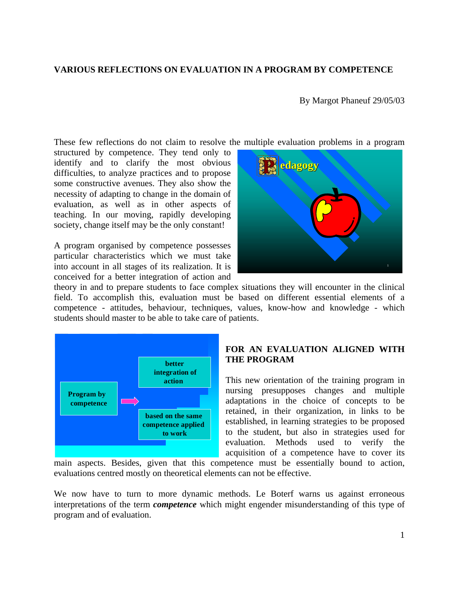### **VARIOUS REFLECTIONS ON EVALUATION IN A PROGRAM BY COMPETENCE**

By Margot Phaneuf 29/05/03

These few reflections do not claim to resolve the multiple evaluation problems in a program

structured by competence. They tend only to identify and to clarify the most obvious difficulties, to analyze practices and to propose some constructive avenues. They also show the necessity of adapting to change in the domain of evaluation, as well as in other aspects of teaching. In our moving, rapidly developing society, change itself may be the only constant!

A program organised by competence possesses particular characteristics which we must take into account in all stages of its realization. It is conceived for a better integration of action and



theory in and to prepare students to face complex situations they will encounter in the clinical field. To accomplish this, evaluation must be based on different essential elements of a competence - attitudes, behaviour, techniques, values, know-how and knowledge - which students should master to be able to take care of patients.



# **FOR AN EVALUATION ALIGNED WITH THE PROGRAM**

This new orientation of the training program in nursing presupposes changes and multiple adaptations in the choice of concepts to be retained, in their organization, in links to be established, in learning strategies to be proposed to the student, but also in strategies used for evaluation. Methods used to verify the acquisition of a competence have to cover its

main aspects. Besides, given that this competence must be essentially bound to action, evaluations centred mostly on theoretical elements can not be effective.

We now have to turn to more dynamic methods. Le Boterf warns us against erroneous interpretations of the term *competence* which might engender misunderstanding of this type of program and of evaluation.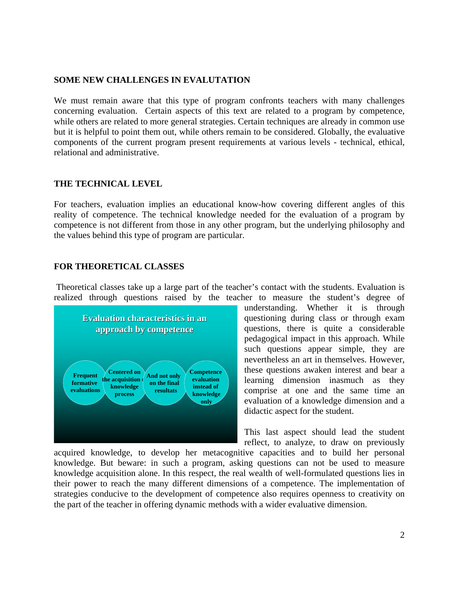### **SOME NEW CHALLENGES IN EVALUTATION**

We must remain aware that this type of program confronts teachers with many challenges concerning evaluation. Certain aspects of this text are related to a program by competence, while others are related to more general strategies. Certain techniques are already in common use but it is helpful to point them out, while others remain to be considered. Globally, the evaluative components of the current program present requirements at various levels - technical, ethical, relational and administrative.

# **THE TECHNICAL LEVEL**

For teachers, evaluation implies an educational know-how covering different angles of this reality of competence. The technical knowledge needed for the evaluation of a program by competence is not different from those in any other program, but the underlying philosophy and the values behind this type of program are particular.

# **FOR THEORETICAL CLASSES**

 Theoretical classes take up a large part of the teacher's contact with the students. Evaluation is realized through questions raised by the teacher to measure the student's degree of



understanding. Whether it is through questioning during class or through exam questions, there is quite a considerable pedagogical impact in this approach. While such questions appear simple, they are nevertheless an art in themselves. However, these questions awaken interest and bear a learning dimension inasmuch as they comprise at one and the same time an evaluation of a knowledge dimension and a didactic aspect for the student.

This last aspect should lead the student reflect, to analyze, to draw on previously

acquired knowledge, to develop her metacognitive capacities and to build her personal knowledge. But beware: in such a program, asking questions can not be used to measure knowledge acquisition alone. In this respect, the real wealth of well-formulated questions lies in their power to reach the many different dimensions of a competence. The implementation of strategies conducive to the development of competence also requires openness to creativity on the part of the teacher in offering dynamic methods with a wider evaluative dimension.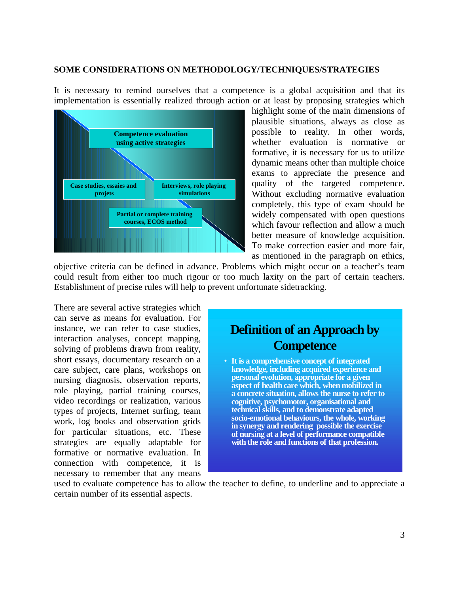#### **SOME CONSIDERATIONS ON METHODOLOGY/TECHNIQUES/STRATEGIES**

It is necessary to remind ourselves that a competence is a global acquisition and that its implementation is essentially realized through action or at least by proposing strategies which



highlight some of the main dimensions of plausible situations, always as close as possible to reality. In other words, whether evaluation is normative or formative, it is necessary for us to utilize dynamic means other than multiple choice exams to appreciate the presence and quality of the targeted competence. Without excluding normative evaluation completely, this type of exam should be widely compensated with open questions which favour reflection and allow a much better measure of knowledge acquisition. To make correction easier and more fair, as mentioned in the paragraph on ethics,

objective criteria can be defined in advance. Problems which might occur on a teacher's team could result from either too much rigour or too much laxity on the part of certain teachers. Establishment of precise rules will help to prevent unfortunate sidetracking.

There are several active strategies which can serve as means for evaluation. For instance, we can refer to case studies, interaction analyses, concept mapping, solving of problems drawn from reality, short essays, documentary research on a care subject, care plans, workshops on nursing diagnosis, observation reports, role playing, partial training courses, video recordings or realization, various types of projects, Internet surfing, team work, log books and observation grids for particular situations, etc. These strategies are equally adaptable for formative or normative evaluation. In connection with competence, it is necessary to remember that any means

# **Definition of an Approach by Competence** • **It is a comprehensive concept of integrated knowledge, including acquired experience and personal evolution, appropriate for a given aspect of health care which, when mobilized in a concrete situation, allows the nurse to refer to cognitive, psychomotor, organisational and**

**technical skills, and to demonstrate adapted socio-emotional behaviours, the whole, working in synergy and rendering possible the exercise of nursing at a level of performance compatible with the role and functions of that profession.**

used to evaluate competence has to allow the teacher to define, to underline and to appreciate a certain number of its essential aspects.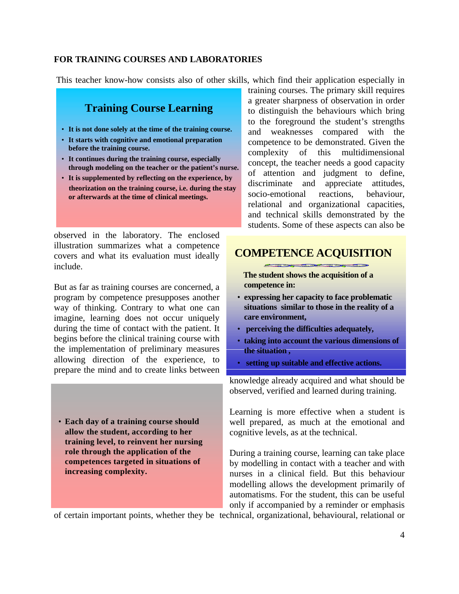### **FOR TRAINING COURSES AND LABORATORIES**

This teacher know-how consists also of other skills, which find their application especially in

# **Training Course Learning**

- **It is not done solely at the time of the training course.**
- **It starts with cognitive and emotional preparation before the training course.**
- **It continues during the training course, especially through modeling on the teacher or the patient's nurse.**
- **It is supplemented by reflecting on the experience, by theorization on the training course, i.e. during the stay or afterwards at the time of clinical meetings.**

observed in the laboratory. The enclosed illustration summarizes what a competence covers and what its evaluation must ideally include.

But as far as training courses are concerned, a program by competence presupposes another way of thinking. Contrary to what one can imagine, learning does not occur uniquely during the time of contact with the patient. It begins before the clinical training course with the implementation of preliminary measures allowing direction of the experience, to prepare the mind and to create links between

• **Each day of a training course should allow the student, according to her training level, to reinvent her nursing role through the application of the competences targeted in situations of increasing complexity.**

training courses. The primary skill requires a greater sharpness of observation in order to distinguish the behaviours which bring to the foreground the student's strengths and weaknesses compared with the competence to be demonstrated. Given the complexity of this multidimensional concept, the teacher needs a good capacity of attention and judgment to define, discriminate and appreciate attitudes, socio-emotional reactions, behaviour, relational and organizational capacities, and technical skills demonstrated by the students. Some of these aspects can also be

# **COMPETENCE ACQUISITION**

 **The student shows the acquisition of a competence in:**

- **expressing her capacity to face problematic situations similar to those in the reality of a care environment,**
- • **perceiving the difficulties adequately,**
- **taking into account the various dimensions of the situation ,**
- • **setting up suitable and effective actions.**

knowledge already acquired and what should be observed, verified and learned during training.

Learning is more effective when a student is well prepared, as much at the emotional and cognitive levels, as at the technical.

During a training course, learning can take place by modelling in contact with a teacher and with nurses in a clinical field. But this behaviour modelling allows the development primarily of automatisms. For the student, this can be useful only if accompanied by a reminder or emphasis

of certain important points, whether they be technical, organizational, behavioural, relational or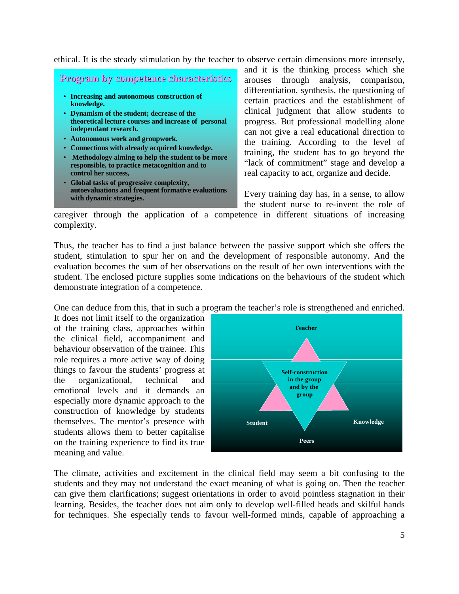ethical. It is the steady stimulation by the teacher to observe certain dimensions more intensely,

# **Program by competence characteristics**

- **Increasing and autonomous construction of knowledge.**
- **Dynamism of the student; decrease of the theoretical lecture courses and increase of personal independant research.**
- **Autonomous work and groupwork.**
- **Connections with already acquired knowledge.**
- **Methodology aiming to help the student to be more responsible, to practice metacognition and to control her success,**
- **Global tasks of progressive complexity, autoevaluations and frequent formative evaluations with dynamic strategies.**

and it is the thinking process which she arouses through analysis, comparison, differentiation, synthesis, the questioning of certain practices and the establishment of clinical judgment that allow students to progress. But professional modelling alone can not give a real educational direction to the training. According to the level of training, the student has to go beyond the "lack of commitment" stage and develop a real capacity to act, organize and decide.

Every training day has, in a sense, to allow the student nurse to re-invent the role of

caregiver through the application of a competence in different situations of increasing complexity.

Thus, the teacher has to find a just balance between the passive support which she offers the student, stimulation to spur her on and the development of responsible autonomy. And the evaluation becomes the sum of her observations on the result of her own interventions with the student. The enclosed picture supplies some indications on the behaviours of the student which demonstrate integration of a competence.

One can deduce from this, that in such a program the teacher's role is strengthened and enriched.

It does not limit itself to the organization of the training class, approaches within the clinical field, accompaniment and behaviour observation of the trainee. This role requires a more active way of doing things to favour the students' progress at the organizational, technical and emotional levels and it demands an especially more dynamic approach to the construction of knowledge by students themselves. The mentor's presence with students allows them to better capitalise on the training experience to find its true meaning and value.



The climate, activities and excitement in the clinical field may seem a bit confusing to the students and they may not understand the exact meaning of what is going on. Then the teacher can give them clarifications; suggest orientations in order to avoid pointless stagnation in their learning. Besides, the teacher does not aim only to develop well-filled heads and skilful hands for techniques. She especially tends to favour well-formed minds, capable of approaching a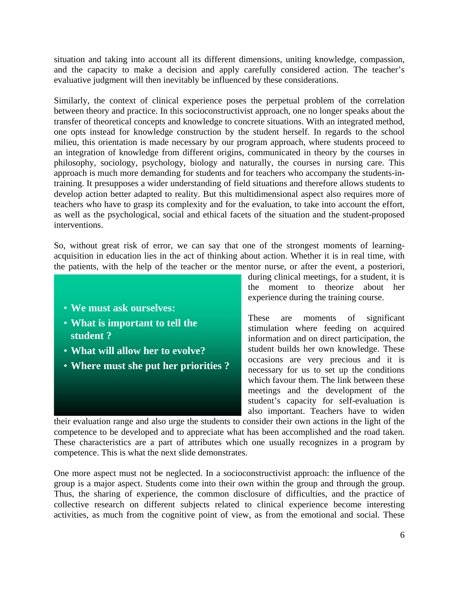situation and taking into account all its different dimensions, uniting knowledge, compassion, and the capacity to make a decision and apply carefully considered action. The teacher's evaluative judgment will then inevitably be influenced by these considerations.

Similarly, the context of clinical experience poses the perpetual problem of the correlation between theory and practice. In this socioconstructivist approach, one no longer speaks about the transfer of theoretical concepts and knowledge to concrete situations. With an integrated method, one opts instead for knowledge construction by the student herself. In regards to the school milieu, this orientation is made necessary by our program approach, where students proceed to an integration of knowledge from different origins, communicated in theory by the courses in philosophy, sociology, psychology, biology and naturally, the courses in nursing care. This approach is much more demanding for students and for teachers who accompany the students-intraining. It presupposes a wider understanding of field situations and therefore allows students to develop action better adapted to reality. But this multidimensional aspect also requires more of teachers who have to grasp its complexity and for the evaluation, to take into account the effort, as well as the psychological, social and ethical facets of the situation and the student-proposed interventions.

So, without great risk of error, we can say that one of the strongest moments of learningacquisition in education lies in the act of thinking about action. Whether it is in real time, with the patients, with the help of the teacher or the mentor nurse, or after the event, a posteriori,

- **We must ask ourselves:**
- **What is important to tell the student ?**
- **What will allow her to evolve?**
- **Where must she put her priorities ?**

during clinical meetings, for a student, it is the moment to theorize about her experience during the training course.

These are moments of significant stimulation where feeding on acquired information and on direct participation, the student builds her own knowledge. These occasions are very precious and it is necessary for us to set up the conditions which favour them. The link between these meetings and the development of the student's capacity for self-evaluation is also important. Teachers have to widen

their evaluation range and also urge the students to consider their own actions in the light of the competence to be developed and to appreciate what has been accomplished and the road taken. These characteristics are a part of attributes which one usually recognizes in a program by competence. This is what the next slide demonstrates.

One more aspect must not be neglected. In a socioconstructivist approach: the influence of the group is a major aspect. Students come into their own within the group and through the group. Thus, the sharing of experience, the common disclosure of difficulties, and the practice of collective research on different subjects related to clinical experience become interesting activities, as much from the cognitive point of view, as from the emotional and social. These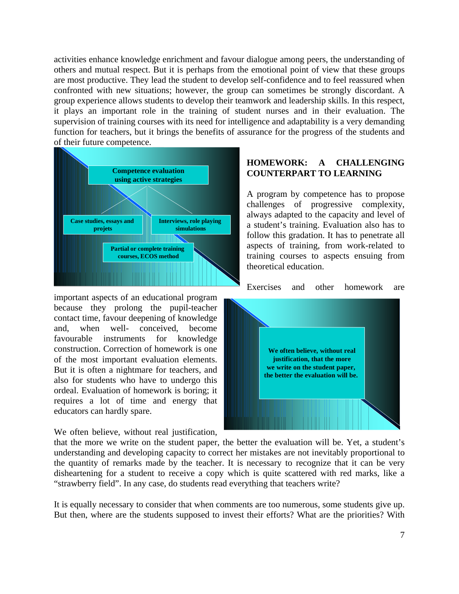activities enhance knowledge enrichment and favour dialogue among peers, the understanding of others and mutual respect. But it is perhaps from the emotional point of view that these groups are most productive. They lead the student to develop self-confidence and to feel reassured when confronted with new situations; however, the group can sometimes be strongly discordant. A group experience allows students to develop their teamwork and leadership skills. In this respect, it plays an important role in the training of student nurses and in their evaluation. The supervision of training courses with its need for intelligence and adaptability is a very demanding function for teachers, but it brings the benefits of assurance for the progress of the students and of their future competence.



important aspects of an educational program because they prolong the pupil-teacher contact time, favour deepening of knowledge and, when well- conceived, become favourable instruments for knowledge construction. Correction of homework is one of the most important evaluation elements. But it is often a nightmare for teachers, and also for students who have to undergo this ordeal. Evaluation of homework is boring; it requires a lot of time and energy that educators can hardly spare.

We often believe, without real justification,

# **HOMEWORK: A CHALLENGING COUNTERPART TO LEARNING**

A program by competence has to propose challenges of progressive complexity, always adapted to the capacity and level of a student's training. Evaluation also has to follow this gradation. It has to penetrate all aspects of training, from work-related to training courses to aspects ensuing from theoretical education.

Exercises and other homework are



that the more we write on the student paper, the better the evaluation will be. Yet, a student's understanding and developing capacity to correct her mistakes are not inevitably proportional to the quantity of remarks made by the teacher. It is necessary to recognize that it can be very disheartening for a student to receive a copy which is quite scattered with red marks, like a "strawberry field". In any case, do students read everything that teachers write?

It is equally necessary to consider that when comments are too numerous, some students give up. But then, where are the students supposed to invest their efforts? What are the priorities? With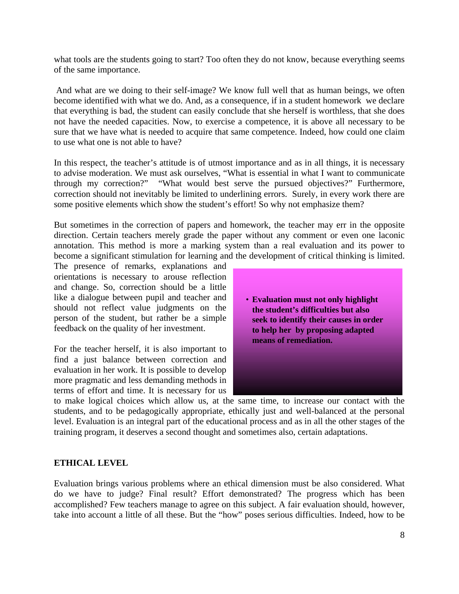what tools are the students going to start? Too often they do not know, because everything seems of the same importance.

 And what are we doing to their self-image? We know full well that as human beings, we often become identified with what we do. And, as a consequence, if in a student homework we declare that everything is bad, the student can easily conclude that she herself is worthless, that she does not have the needed capacities. Now, to exercise a competence, it is above all necessary to be sure that we have what is needed to acquire that same competence. Indeed, how could one claim to use what one is not able to have?

In this respect, the teacher's attitude is of utmost importance and as in all things, it is necessary to advise moderation. We must ask ourselves, "What is essential in what I want to communicate through my correction?" "What would best serve the pursued objectives?" Furthermore, correction should not inevitably be limited to underlining errors. Surely, in every work there are some positive elements which show the student's effort! So why not emphasize them?

But sometimes in the correction of papers and homework, the teacher may err in the opposite direction. Certain teachers merely grade the paper without any comment or even one laconic annotation. This method is more a marking system than a real evaluation and its power to become a significant stimulation for learning and the development of critical thinking is limited.

The presence of remarks, explanations and orientations is necessary to arouse reflection and change. So, correction should be a little like a dialogue between pupil and teacher and should not reflect value judgments on the person of the student, but rather be a simple feedback on the quality of her investment.

For the teacher herself, it is also important to find a just balance between correction and evaluation in her work. It is possible to develop more pragmatic and less demanding methods in terms of effort and time. It is necessary for us



to make logical choices which allow us, at the same time, to increase our contact with the students, and to be pedagogically appropriate, ethically just and well-balanced at the personal level. Evaluation is an integral part of the educational process and as in all the other stages of the training program, it deserves a second thought and sometimes also, certain adaptations.

# **ETHICAL LEVEL**

Evaluation brings various problems where an ethical dimension must be also considered. What do we have to judge? Final result? Effort demonstrated? The progress which has been accomplished? Few teachers manage to agree on this subject. A fair evaluation should, however, take into account a little of all these. But the "how" poses serious difficulties. Indeed, how to be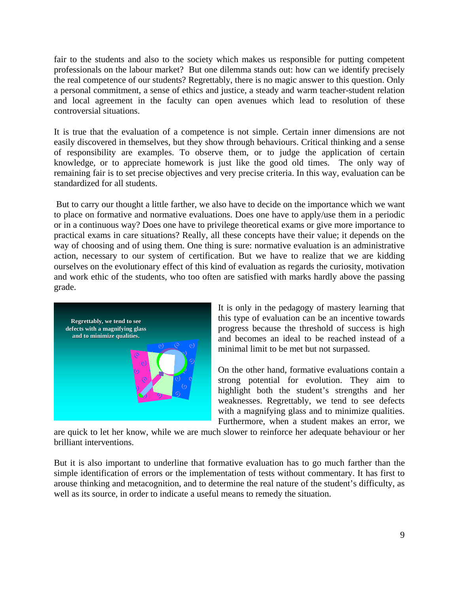fair to the students and also to the society which makes us responsible for putting competent professionals on the labour market? But one dilemma stands out: how can we identify precisely the real competence of our students? Regrettably, there is no magic answer to this question. Only a personal commitment, a sense of ethics and justice, a steady and warm teacher-student relation and local agreement in the faculty can open avenues which lead to resolution of these controversial situations.

It is true that the evaluation of a competence is not simple. Certain inner dimensions are not easily discovered in themselves, but they show through behaviours. Critical thinking and a sense of responsibility are examples. To observe them, or to judge the application of certain knowledge, or to appreciate homework is just like the good old times. The only way of remaining fair is to set precise objectives and very precise criteria. In this way, evaluation can be standardized for all students.

 But to carry our thought a little farther, we also have to decide on the importance which we want to place on formative and normative evaluations. Does one have to apply/use them in a periodic or in a continuous way? Does one have to privilege theoretical exams or give more importance to practical exams in care situations? Really, all these concepts have their value; it depends on the way of choosing and of using them. One thing is sure: normative evaluation is an administrative action, necessary to our system of certification. But we have to realize that we are kidding ourselves on the evolutionary effect of this kind of evaluation as regards the curiosity, motivation and work ethic of the students, who too often are satisfied with marks hardly above the passing grade.



It is only in the pedagogy of mastery learning that this type of evaluation can be an incentive towards progress because the threshold of success is high and becomes an ideal to be reached instead of a minimal limit to be met but not surpassed.

On the other hand, formative evaluations contain a strong potential for evolution. They aim to highlight both the student's strengths and her weaknesses. Regrettably, we tend to see defects with a magnifying glass and to minimize qualities. Furthermore, when a student makes an error, we

are quick to let her know, while we are much slower to reinforce her adequate behaviour or her brilliant interventions.

But it is also important to underline that formative evaluation has to go much farther than the simple identification of errors or the implementation of tests without commentary. It has first to arouse thinking and metacognition, and to determine the real nature of the student's difficulty, as well as its source, in order to indicate a useful means to remedy the situation.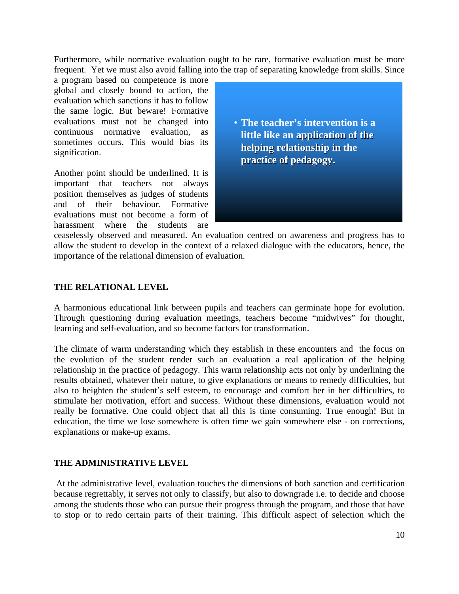Furthermore, while normative evaluation ought to be rare, formative evaluation must be more frequent. Yet we must also avoid falling into the trap of separating knowledge from skills. Since

a program based on competence is more global and closely bound to action, the evaluation which sanctions it has to follow the same logic. But beware! Formative evaluations must not be changed into continuous normative evaluation, as sometimes occurs. This would bias its signification.

Another point should be underlined. It is important that teachers not always position themselves as judges of students and of their behaviour. Formative evaluations must not become a form of harassment where the students are

• **The teacher's intervention is a little like an application of the helping relationship in the helping relationship in the practice of pedagogy. practice pedagogy.**

ceaselessly observed and measured. An evaluation centred on awareness and progress has to allow the student to develop in the context of a relaxed dialogue with the educators, hence, the importance of the relational dimension of evaluation.

# **THE RELATIONAL LEVEL**

A harmonious educational link between pupils and teachers can germinate hope for evolution. Through questioning during evaluation meetings, teachers become "midwives" for thought, learning and self-evaluation, and so become factors for transformation.

The climate of warm understanding which they establish in these encounters and the focus on the evolution of the student render such an evaluation a real application of the helping relationship in the practice of pedagogy. This warm relationship acts not only by underlining the results obtained, whatever their nature, to give explanations or means to remedy difficulties, but also to heighten the student's self esteem, to encourage and comfort her in her difficulties, to stimulate her motivation, effort and success. Without these dimensions, evaluation would not really be formative. One could object that all this is time consuming. True enough! But in education, the time we lose somewhere is often time we gain somewhere else - on corrections, explanations or make-up exams.

### **THE ADMINISTRATIVE LEVEL**

 At the administrative level, evaluation touches the dimensions of both sanction and certification because regrettably, it serves not only to classify, but also to downgrade i.e. to decide and choose among the students those who can pursue their progress through the program, and those that have to stop or to redo certain parts of their training. This difficult aspect of selection which the